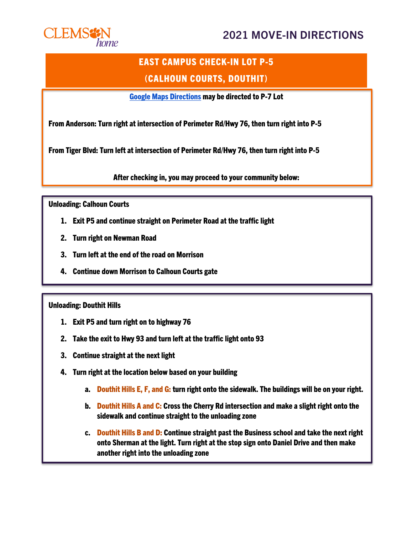## 2021 MOVE-IN DIRECTIONS



# EAST CAMPUS CHECK-IN LOT P-5 (CALHOUN COURTS, DOUTHIT)

[Google Maps Directions](http://maps.google.com/maps?saddr=34.6818123956707,-82.83760159589836&daddr=34.677314,-82.816056) may be directed to P-7 Lot

From Anderson: Turn right at intersection of Perimeter Rd/Hwy 76, then turn right into P-5

From Tiger Blvd: Turn left at intersection of Perimeter Rd/Hwy 76, then turn right into P-5

After checking in, you may proceed to your community below:

Unloading: Calhoun Courts

- 1. Exit P5 and continue straight on Perimeter Road at the traffic light
- 2. Turn right on Newman Road
- 3. Turn left at the end of the road on Morrison
- 4. Continue down Morrison to Calhoun Courts gate

#### Unloading: Douthit Hills

- 1. Exit P5 and turn right on to highway 76
- 2. Take the exit to Hwy 93 and turn left at the traffic light onto 93
- 3. Continue straight at the next light
- 4. Turn right at the location below based on your building
	- a. Douthit Hills E, F, and G: turn right onto the sidewalk. The buildings will be on your right.
	- b. Douthit Hills A and C: Cross the Cherry Rd intersection and make a slight right onto the sidewalk and continue straight to the unloading zone
	- c. Douthit Hills B and D: Continue straight past the Business school and take the next right onto Sherman at the light. Turn right at the stop sign onto Daniel Drive and then make another right into the unloading zone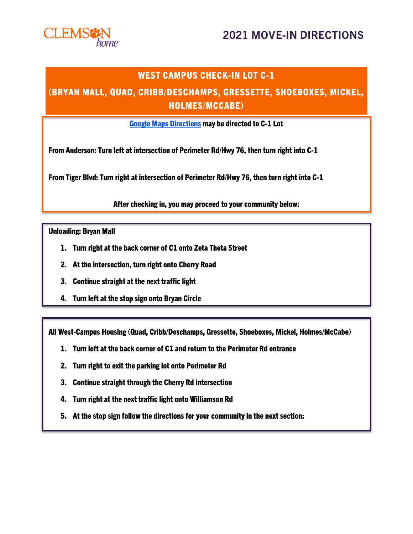## 2021 MOVE-IN DIRECTIONS



#### WEST CAMPUS CHECK-IN LOT C-1

#### (BRYAN MALL, QUAD, CRIBB/DESCHAMPS, GRESSETTE, SHOEBOXES, MICKEL, HOLMES/MCCABE)

[Google Maps Directions](http://maps.google.com/maps?saddr=34.68181895930296,-82.837586776624&daddr=34.672272,-82.829229) may be directed to C-1 Lot

From Anderson: Turn left at intersection of Perimeter Rd/Hwy 76, then turn right into C-1

From Tiger Blvd: Turn right at intersection of Perimeter Rd/Hwy 76, then turn right into C-1

After checking in, you may proceed to your community below:

Unloading: Bryan Mall

- 1. Turn right at the back corner of C1 onto Zeta Theta Street
- 2. At the intersection, turn right onto Cherry Road
- 3. Continue straight at the next traffic light
- 4. Turn left at the stop sign onto Bryan Circle

All West-Campus Housing (Quad, Cribb/Deschamps, Gressette, Shoeboxes, Mickel, Holmes/McCabe)

- 1. Turn left at the back corner of C1 and return to the Perimeter Rd entrance
- 2. Turn right to exit the parking lot onto Perimeter Rd
- 3. Continue straight through the Cherry Rd intersection
- 4. Turn right at the next traffic light onto Williamson Rd
- 5. At the stop sign follow the directions for your community in the next section: